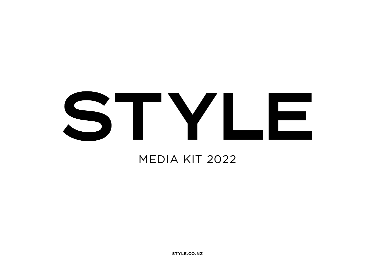# TYLE

### MEDIA KIT 2022

**STYLE.CO.NZ**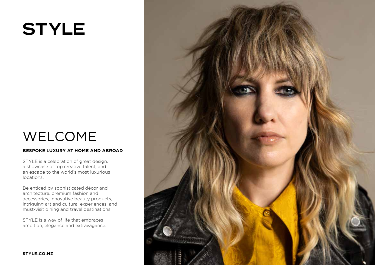### WELCOME

### **BESPOKE LUXURY AT HOME AND ABROAD**

STYLE is a celebration of great design, a showcase of top creative talent, and an escape to the world's most luxurious locations.

Be enticed by sophisticated décor and architecture, premium fashion and accessories, innovative beauty products, intriguing art and cultural experiences, and must-visit dining and travel destinations.

STYLE is a way of life that embraces ambition, elegance and extravagance.

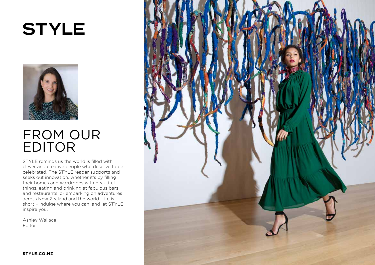

### FROM OUR EDITOR

STYLE reminds us the world is filled with clever and creative people who deserve to be celebrated. The STYLE reader supports and seeks out innovation, whether it's by filling their homes and wardrobes with beautiful things, eating and drinking at fabulous bars and restaurants, or embarking on adventures across New Zealand and the world. Life is short – indulge where you can, and let STYLE inspire you.

Ashley Wallace Editor

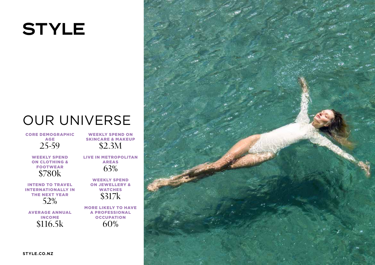### OUR UNIVERSE

CORE DEMOGRAPHIC AGE 25-59

> WEEKLY SPEND ON CLOTHING & FOOTWEAR \$780k

INTEND TO TRAVEL INTERNATIONALLY IN THE NEXT YEAR 52%

AVERAGE ANNUAL INCOME \$116.5k

WEEKLY SPEND ON SKINCARE & MAKEUP \$2.3M

LIVE IN METROPOLITAN AREAS 63%

> WEEKLY SPEND ON JEWELLERY & **WATCHES** \$317k

MORE LIKELY TO HAVE A PROFESSIONAL **OCCUPATION** 60%

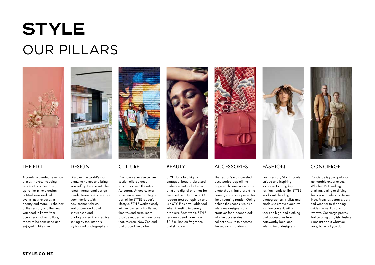## **STYLE** OUR PILLARS



### THE EDIT

A carefully curated selection of must-haves, including lust-worthy accessories, up-to-the-minute design, not-to-be-missed cultural events, new releases in beauty and more. It's the best of the season, and the news you need to know from across each of our pillars, ready to be consumed and enjoyed in bite size.

### DESIGN

Discover the world's most amazing homes and bring yourself up to date with the latest international design trends. Learn how to elevate your interiors with new-season fabrics, wallpapers and paint, showcased and photographed in a creative setting by top interiors stylists and photographers.



### CULTURE

Our comprehensive culture section offers a deep exploration into the arts in Aotearoa. Unique cultural experiences are an integral part of the STYLE reader's lifestyle. STYLE works closely with renowned art galleries, theatres and museums to provide readers with exclusive features from New Zealand and around the globe.



### BEAUTY

STYLE talks to a highly engaged, beauty-obsessed audience that looks to our print and digital offerings for the latest beauty advice. Our readers trust our opinion and use STYLE as a valuable tool when investing in beauty products. Each week, STYLE readers spend more than \$2.3 million on fragrance and skincare.



### **ACCESSORIES**

The season's most coveted accessories leap off the page each issue in exclusive photo shoots that present the newest, must-have pieces for the discerning reader. Going behind the scenes, we also interview designers and creatives for a deeper look into the accessories collections sure to become the season's standouts.



### FASHION

Each season, STYLE scouts unique and inspiring locations to bring key fashion trends to life. STYLE works with leading photographers, stylists and models to create evocative fashion content, with a focus on high-end clothing and accessories from noteworthy local and international designers.



### **CONCIERGE**

Concierge is your go-to for memorable experiences. Whether it's travelling, drinking, dining or driving, this is your guide to a life well lived. From restaurants, bars and wineries to shopping guides, travel tips and car reviews, Concierge proves that curating a stylish lifestyle is not just about what you have, but what you do.

**STYLE.CO.NZ**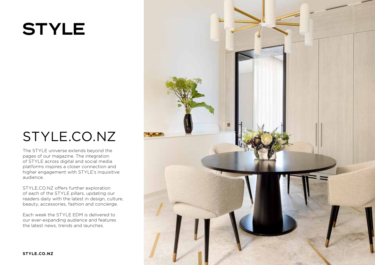### STYLE.CO.NZ

The STYLE universe extends beyond the pages of our magazine. The integration of STYLE across digital and social media platforms inspires a closer connection and higher engagement with STYLE's inquisitive audience.

STYLE.CO.NZ offers further exploration of each of the STYLE pillars, updating our readers daily with the latest in design, culture, beauty, accessories, fashion and concierge.

Each week the STYLE EDM is delivered to our ever-expanding audience and features the latest news, trends and launches.

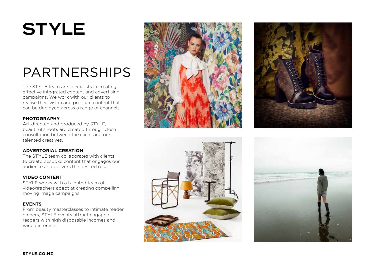### PARTNERSHIPS

The STYLE team are specialists in creating effective integrated content and advertising campaigns. We work with our clients to realise their vision and produce content that can be deployed across a range of channels.

### **PHOTOGRAPHY**

Art directed and produced by STYLE, beautiful shoots are created through close consultation between the client and our talented creatives.

### **ADVERTORIAL CREATION**

The STYLE team collaborates with clients to create bespoke content that engages our audience and delivers the desired result.

### **VIDEO CONTENT**

STYLE works with a talented team of videographers adept at creating compelling moving image campaigns.

### **EVENTS**

From beauty masterclasses to intimate reader dinners, STYLE events attract engaged readers with high disposable incomes and varied interests.







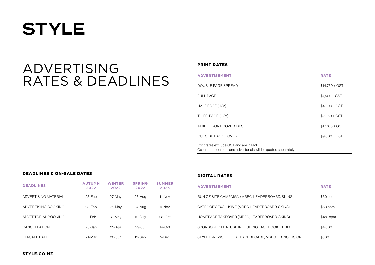### ADVERTISING RATES & DEADLINES

#### PRINT RATES

| <b>ADVERTISEMENT</b>                    | <b>RATE</b>     |
|-----------------------------------------|-----------------|
| DOUBLE PAGE SPREAD                      | $$14.750 + GST$ |
| <b>FULL PAGE</b>                        | $$7.500 + GST$  |
| HALF PAGE (H/V)                         | $$4.300 + GST$  |
| THIRD PAGE (H/V)                        | $$2.860 + GST$  |
| INSIDE FRONT COVER, DPS                 | $$17,700 + GST$ |
| <b>OUTSIDE BACK COVER</b>               | $$9.000 + GST$  |
| Print rates exclude GST and are in NZD. |                 |

Co-created content and advertorials will be quoted separately.

### DEADLINES & ON-SALE DATES

| <b>DEADLINES</b>     | <b>AUTUMN</b><br>2022 | <b>WINTER</b><br>2022 | <b>SPRING</b><br>2022 | <b>SUMMER</b><br>2023 |
|----------------------|-----------------------|-----------------------|-----------------------|-----------------------|
| ADVERTISING MATERIAL | 25-Feb                | 27-May                | $26 - Aug$            | $11-Nov$              |
| ADVERTISING BOOKING  | 23-Feb                | $25-Mav$              | 24-Aug                | $9-Nov$               |
| ADVERTORIAL BOOKING  | $11$ -Feb             | 13-May                | 12-Aug                | $28-Oct$              |
| <b>CANCELLATION</b>  | 28-Jan                | 29-Apr                | $29 -$ Jul            | $14$ -Oct             |
| <b>ON-SALE DATE</b>  | 21-Mar                | $20 - \frac{1}{2}$    | 19-Sep                | 5-Dec                 |

### DIGITAL RATES

| <b>ADVERTISEMENT</b>                              | <b>RATE</b> |
|---------------------------------------------------|-------------|
| RUN OF SITE CAMPAIGN (MREC, LEADERBOARD, SKINS)   | \$30 cpm    |
| CATEGORY EXCLUSIVE (MREC, LEADERBOARD, SKINS)     | \$60 cpm    |
| HOMEPAGE TAKEOVER (MREC, LEADERBOARD, SKINS)      | \$120 cpm   |
| SPONSORED FEATURE INCLUDING FACEBOOK + EDM        | \$4.000     |
| STYLE E-NEWSLETTER LEADERBOARD, MREC OR INCLUSION | \$500       |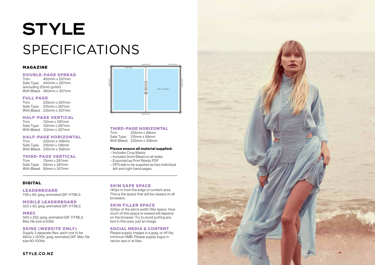## **STYLE** SPECIFICATIONS

### MAGAZINE

### **DOUBLE-PAGE SPREAD**<br>Trim-450mm x 297mm

Trim: 450mm x 297mm Safe Type: 440mm x 287mm (excluding 20mm gutter) With Bleed: 460mm x 307mm

### **FULL PAGE**<br>Trim: 225

225mm x 297mm Safe Type: 215mm x 287mm With Bleed: 235mm x 307mm

### **HALF-PAGE VERTICAL**<br>Trim: 112mm x 297mm

112mm x 297mm Safe Type: 102mm x 287mm With Bleed: 122mm x 307mm

### HALF-PAGE HORIZONTAL

225mm x 148mm Safe Type: 215mm x 138mm With Bleed: 235mm x 158mm

### **THIRD-PAGE VERTICAL**<br>Trim. 75mm x 297mm

75mm x 297mm Safe Type: 65mm x 287mm With Bleed: 85mm x 307mm

### DIGITAL

**LEADERBOARD** 

728 x 90, jpeg, animated GIF, HTML5

#### MOBILE LEADERBOARD 320 x 50, jpeg, animated GIF, HTML5

MREC

300 x 250, jpeg, animated GIF, HTML5. Max file size is 50kb

#### SKINS (WEBSITE ONLY)

Supply 2 separate files, each one to be 460w x 1200h, jpeg, animated GIF. Max file size 80-100kb.



### **THIRD-PAGE HORIZONTAL**<br>Trim-225mm x 99mm

Trim: 225mm x 99mm Safe Type: 215mm x 89mm With Bleed: 235mm x 109mm

#### Please ensure all material supplied:

- Includes Crop Marks
- Includes 5mm Bleed on all sides
- Exported as Print Ready PDF
- DPS ads to be supplied as two individual left and right hand pages

### SKIN SAFE SPACE

140px in from the edge of content area. This is the space that will be viewed on all browsers.

#### SKIN FILLER SPACE

320px of the skin's width filler space. How much of this space is viewed will depend on the browser. Try to avoid putting any text in this area, just an image.

#### SOCIAL MEDIA & CONTENT

Please supply images in a jpeg, or tiff file, minimum 5MB. Please supply logos in vector eps or ai files.